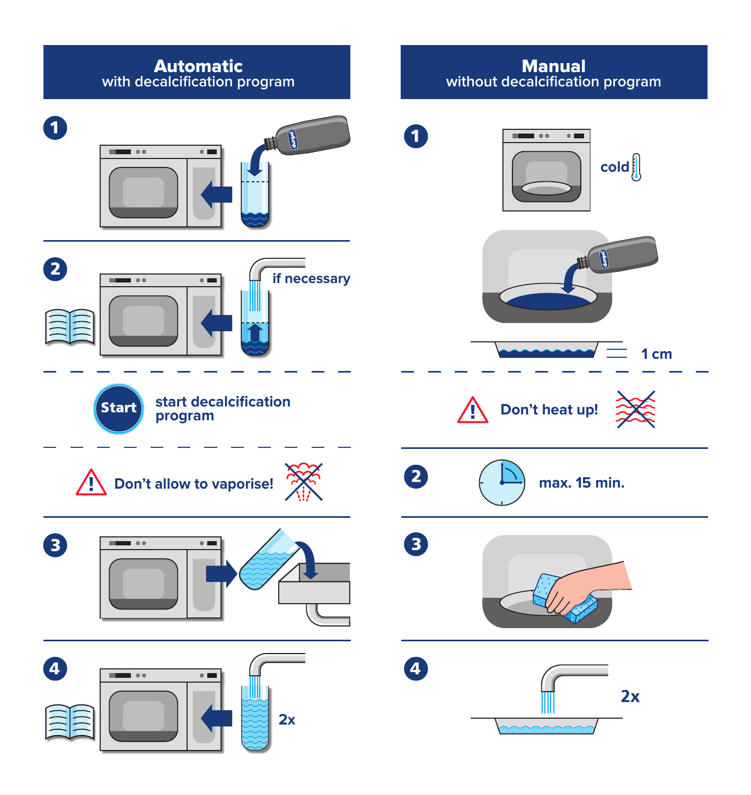